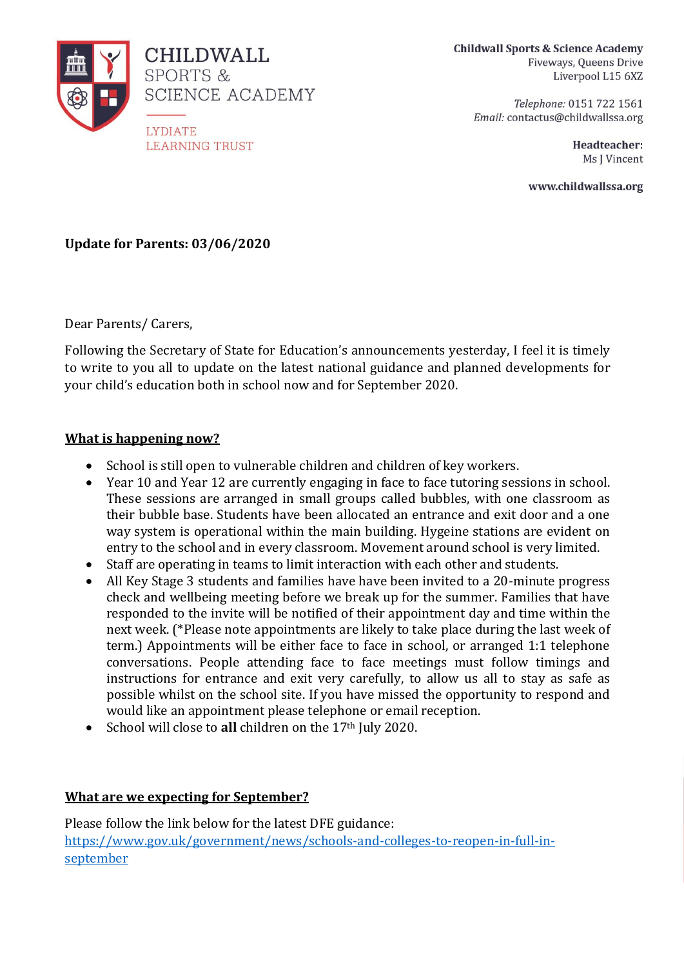

**Childwall Sports & Science Academy** Fiveways, Oueens Drive Liverpool L15 6XZ

> Telephone: 0151 722 1561 Email: contactus@childwallssa.org

> > Headteacher: Ms I Vincent

www.childwallssa.org

## **Update for Parents: 03/06/2020**

Dear Parents/ Carers,

Following the Secretary of State for Education's announcements yesterday, I feel it is timely to write to you all to update on the latest national guidance and planned developments for your child's education both in school now and for September 2020.

## **What is happening now?**

- School is still open to vulnerable children and children of key workers.
- Year 10 and Year 12 are currently engaging in face to face tutoring sessions in school. These sessions are arranged in small groups called bubbles, with one classroom as their bubble base. Students have been allocated an entrance and exit door and a one way system is operational within the main building. Hygeine stations are evident on entry to the school and in every classroom. Movement around school is very limited.
- Staff are operating in teams to limit interaction with each other and students.
- All Key Stage 3 students and families have have been invited to a 20-minute progress check and wellbeing meeting before we break up for the summer. Families that have responded to the invite will be notified of their appointment day and time within the next week. (\*Please note appointments are likely to take place during the last week of term.) Appointments will be either face to face in school, or arranged 1:1 telephone conversations. People attending face to face meetings must follow timings and instructions for entrance and exit very carefully, to allow us all to stay as safe as possible whilst on the school site. If you have missed the opportunity to respond and would like an appointment please telephone or email reception.
- School will close to **all** children on the 17th July 2020.

## **What are we expecting for September?**

Please follow the link below for the latest DFE guidance: [https://www.gov.uk/government/news/schools-and-colleges-to-reopen-in-full-in](https://www.gov.uk/government/news/schools-and-colleges-to-reopen-in-full-in-september)[september](https://www.gov.uk/government/news/schools-and-colleges-to-reopen-in-full-in-september)